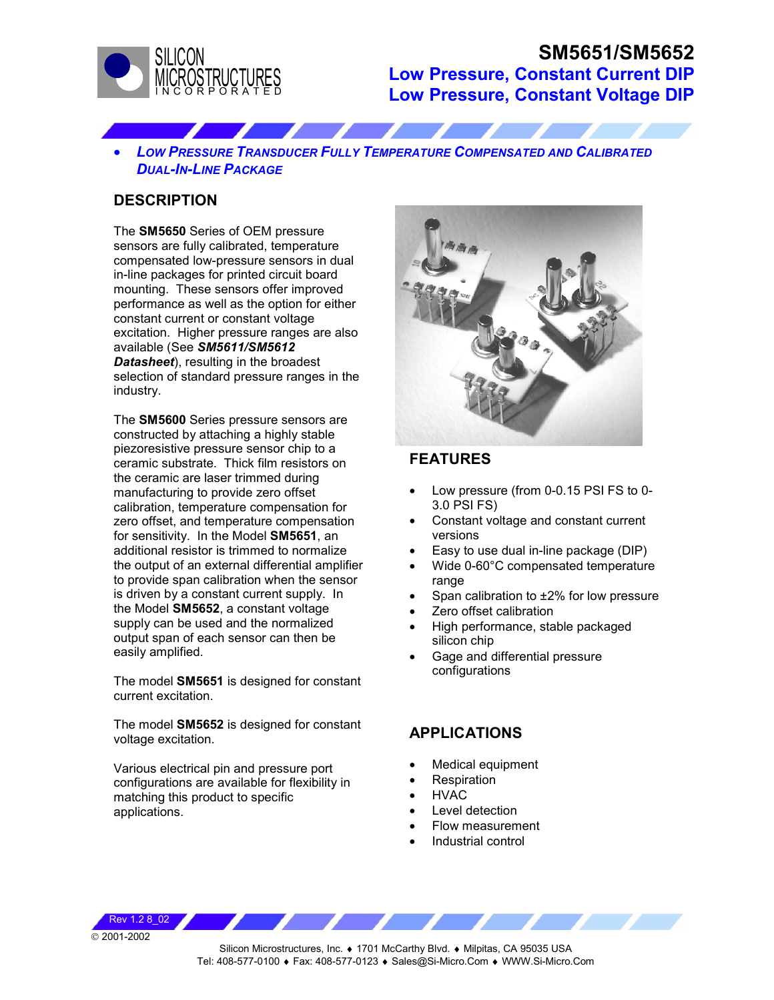

## **SM5651/SM5652 Low Pressure, Constant Current DIP Low Pressure, Constant Voltage DIP**

• *LOW PRESSURE TRANSDUCER FULLY TEMPERATURE COMPENSATED AND CALIBRATED DUAL-IN-LINE PACKAGE*

## **DESCRIPTION**

The **SM5650** Series of OEM pressure sensors are fully calibrated, temperature compensated low-pressure sensors in dual in-line packages for printed circuit board mounting. These sensors offer improved performance as well as the option for either constant current or constant voltage excitation. Higher pressure ranges are also available (See *SM5611/SM5612 Datasheet*), resulting in the broadest selection of standard pressure ranges in the industry.

The **SM5600** Series pressure sensors are constructed by attaching a highly stable piezoresistive pressure sensor chip to a ceramic substrate. Thick film resistors on the ceramic are laser trimmed during manufacturing to provide zero offset calibration, temperature compensation for zero offset, and temperature compensation for sensitivity. In the Model **SM5651**, an additional resistor is trimmed to normalize the output of an external differential amplifier to provide span calibration when the sensor is driven by a constant current supply. In the Model **SM5652**, a constant voltage supply can be used and the normalized output span of each sensor can then be easily amplified.

The model **SM5651** is designed for constant current excitation.

The model **SM5652** is designed for constant voltage excitation.

Various electrical pin and pressure port configurations are available for flexibility in matching this product to specific applications.



## **FEATURES**

- Low pressure (from 0-0.15 PSI FS to 0- 3.0 PSI FS)
- Constant voltage and constant current versions
- Easy to use dual in-line package (DIP)
- Wide 0-60°C compensated temperature range
- Span calibration to  $±2\%$  for low pressure
- Zero offset calibration
- High performance, stable packaged silicon chip
- Gage and differential pressure configurations

## **APPLICATIONS**

- Medical equipment
- **Respiration**
- HVAC
- **Level detection**
- Flow measurement
- Industrial control

 2001-2002 Rev 1.2 8\_02